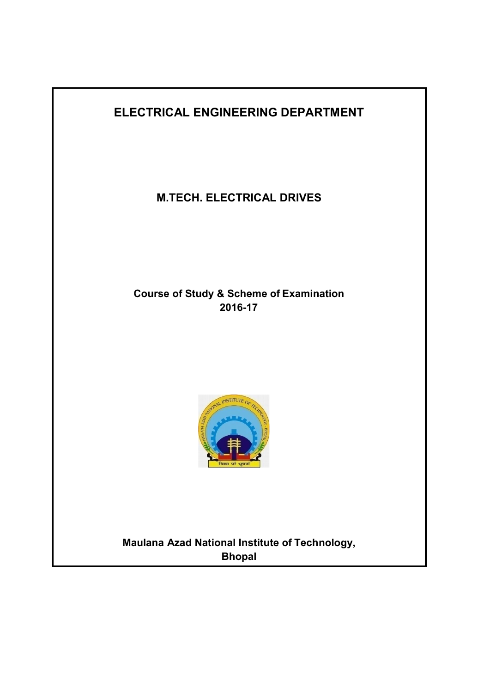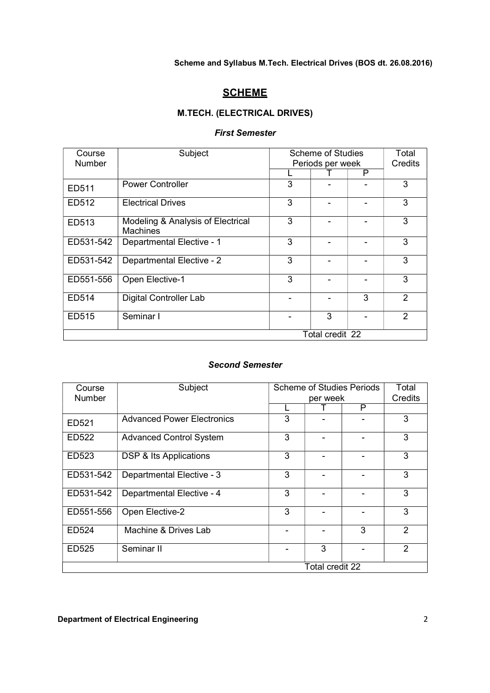# **SCHEME**

# M.TECH. (ELECTRICAL DRIVES)

# First Semester

| Course<br><b>Number</b> | Subject                                              | <b>Scheme of Studies</b><br>Periods per week |   |   | Total<br>Credits |
|-------------------------|------------------------------------------------------|----------------------------------------------|---|---|------------------|
|                         |                                                      |                                              |   | P |                  |
| ED511                   | <b>Power Controller</b>                              | 3                                            |   |   | 3                |
| ED512                   | <b>Electrical Drives</b>                             | 3                                            |   |   | 3                |
| ED513                   | Modeling & Analysis of Electrical<br><b>Machines</b> | 3                                            |   |   | 3                |
| ED531-542               | Departmental Elective - 1                            | 3                                            |   |   | 3                |
| ED531-542               | Departmental Elective - 2                            | 3                                            |   |   | 3                |
| ED551-556               | Open Elective-1                                      | 3                                            |   |   | 3                |
| ED514                   | <b>Digital Controller Lab</b>                        |                                              |   | 3 | $\mathfrak{p}$   |
| ED515                   | Seminar I                                            |                                              | 3 |   | $\mathfrak{p}$   |
| Total credit 22         |                                                      |                                              |   |   |                  |

# Second Semester

| Course          | Subject                           | <b>Scheme of Studies Periods</b> | Total |   |               |
|-----------------|-----------------------------------|----------------------------------|-------|---|---------------|
| <b>Number</b>   |                                   | per week                         |       |   | Credits       |
|                 |                                   |                                  |       | P |               |
| ED521           | <b>Advanced Power Electronics</b> | 3                                |       |   | 3             |
| ED522           | <b>Advanced Control System</b>    | 3                                |       |   | 3             |
| ED523           | DSP & Its Applications            | 3                                |       |   | 3             |
| ED531-542       | Departmental Elective - 3         | 3                                |       |   | 3             |
| ED531-542       | Departmental Elective - 4         | 3                                |       |   | 3             |
| ED551-556       | Open Elective-2                   | 3                                |       |   | 3             |
| ED524           | Machine & Drives Lab              |                                  |       | 3 | $\mathcal{P}$ |
| ED525           | Seminar II                        |                                  | 3     |   | $\mathcal{P}$ |
| Total credit 22 |                                   |                                  |       |   |               |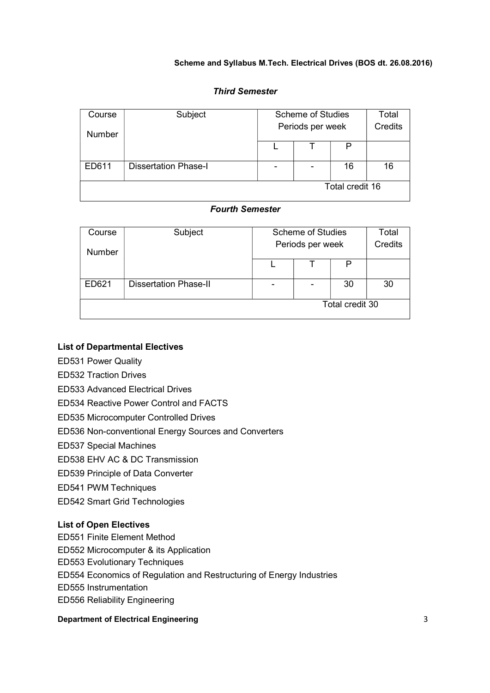# Third Semester

| Course          | Subject                     | <b>Scheme of Studies</b> |  |    | Total   |
|-----------------|-----------------------------|--------------------------|--|----|---------|
| <b>Number</b>   |                             | Periods per week         |  |    | Credits |
|                 |                             |                          |  | D  |         |
| ED611           | <b>Dissertation Phase-I</b> | $\overline{\phantom{0}}$ |  | 16 | 16      |
| Total credit 16 |                             |                          |  |    |         |

# Fourth Semester

| Course          | Subject                      | <b>Scheme of Studies</b> |  |                | Total |
|-----------------|------------------------------|--------------------------|--|----------------|-------|
| <b>Number</b>   | Periods per week             |                          |  | <b>Credits</b> |       |
|                 |                              |                          |  |                |       |
| ED621           | <b>Dissertation Phase-II</b> |                          |  | 30             | 30    |
| Total credit 30 |                              |                          |  |                |       |

# List of Departmental Electives

- ED531 Power Quality
- ED532 Traction Drives
- ED533 Advanced Electrical Drives
- ED534 Reactive Power Control and FACTS
- ED535 Microcomputer Controlled Drives
- ED536 Non-conventional Energy Sources and Converters
- ED537 Special Machines
- ED538 EHV AC & DC Transmission
- ED539 Principle of Data Converter
- ED541 PWM Techniques
- ED542 Smart Grid Technologies

#### List of Open Electives

- ED551 Finite Element Method
- ED552 Microcomputer & its Application
- ED553 Evolutionary Techniques
- ED554 Economics of Regulation and Restructuring of Energy Industries
- ED555 Instrumentation
- ED556 Reliability Engineering

# **Department of Electrical Engineering 3** 3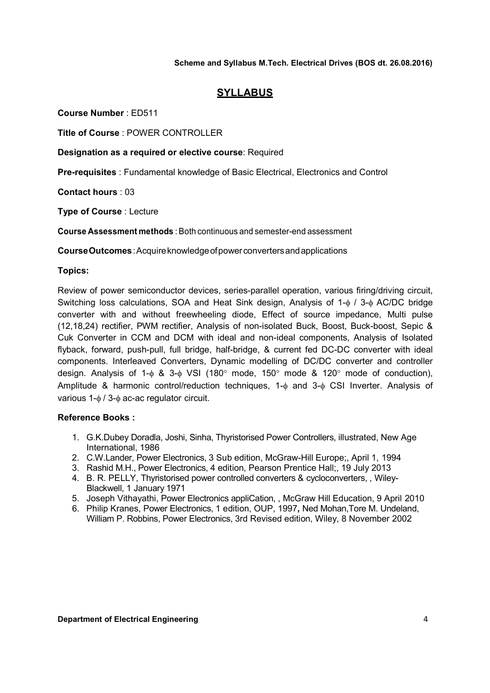# SYLLABUS

Course Number : ED511

Title of Course : POWER CONTROLLER

Designation as a required or elective course: Required

Pre-requisites : Fundamental knowledge of Basic Electrical, Electronics and Control

Contact hours : 03

Type of Course : Lecture

Course Assessment methods : Both continuous and semester-end assessment

Course Outcomes : Acquire knowledge of power converters and applications

# Topics:

Review of power semiconductor devices, series-parallel operation, various firing/driving circuit, Switching loss calculations, SOA and Heat Sink design, Analysis of 1- $\phi$  / 3- $\phi$  AC/DC bridge converter with and without freewheeling diode, Effect of source impedance, Multi pulse (12,18,24) rectifier, PWM rectifier, Analysis of non-isolated Buck, Boost, Buck-boost, Sepic & Cuk Converter in CCM and DCM with ideal and non-ideal components, Analysis of Isolated flyback, forward, push-pull, full bridge, half-bridge, & current fed DC-DC converter with ideal components. Interleaved Converters, Dynamic modelling of DC/DC converter and controller design. Analysis of 1- $\phi$  & 3- $\phi$  VSI (180 $^{\circ}$  mode, 150 $^{\circ}$  mode & 120 $^{\circ}$  mode of conduction), Amplitude & harmonic control/reduction techniques, 1- $\phi$  and 3- $\phi$  CSI Inverter. Analysis of various  $1-\phi/3-\phi$  ac-ac regulator circuit.

- 1. G.K.Dubey Doradla, Joshi, Sinha, Thyristorised Power Controllers, illustrated, New Age International, 1986
- 2. C.W.Lander, Power Electronics, 3 Sub edition, McGraw-Hill Europe;, April 1, 1994
- 3. Rashid M.H., Power Electronics, 4 edition, Pearson Prentice Hall;, 19 July 2013
- 4. B. R. PELLY, Thyristorised power controlled converters & cycloconverters, , Wiley-Blackwell, 1 January 1971
- 5. Joseph Vithayathi, Power Electronics appliCation, , McGraw Hill Education, 9 April 2010
- 6. Philip Kranes, Power Electronics, 1 edition, OUP, 1997, Ned Mohan,Tore M. Undeland, William P. Robbins, Power Electronics, 3rd Revised edition, Wiley, 8 November 2002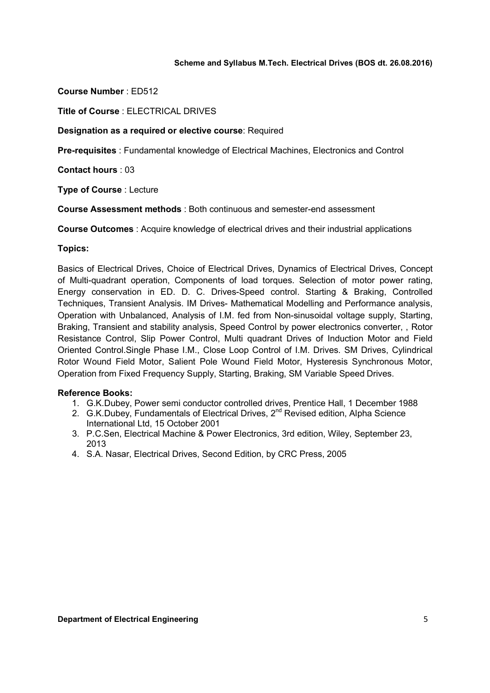Course Number : ED512

Title of Course : ELECTRICAL DRIVES

# Designation as a required or elective course: Required

Pre-requisites : Fundamental knowledge of Electrical Machines, Electronics and Control

Contact hours : 03

Type of Course : Lecture

Course Assessment methods : Both continuous and semester-end assessment

Course Outcomes : Acquire knowledge of electrical drives and their industrial applications

# Topics:

Basics of Electrical Drives, Choice of Electrical Drives, Dynamics of Electrical Drives, Concept of Multi-quadrant operation, Components of load torques. Selection of motor power rating, Energy conservation in ED. D. C. Drives-Speed control. Starting & Braking, Controlled Techniques, Transient Analysis. IM Drives- Mathematical Modelling and Performance analysis, Operation with Unbalanced, Analysis of I.M. fed from Non-sinusoidal voltage supply, Starting, Braking, Transient and stability analysis, Speed Control by power electronics converter, , Rotor Resistance Control, Slip Power Control, Multi quadrant Drives of Induction Motor and Field Oriented Control.Single Phase I.M., Close Loop Control of I.M. Drives. SM Drives, Cylindrical Rotor Wound Field Motor, Salient Pole Wound Field Motor, Hysteresis Synchronous Motor, Operation from Fixed Frequency Supply, Starting, Braking, SM Variable Speed Drives.

- 1. G.K.Dubey, Power semi conductor controlled drives, Prentice Hall, 1 December 1988
- 2. G.K.Dubey, Fundamentals of Electrical Drives, 2<sup>nd</sup> Revised edition, Alpha Science International Ltd, 15 October 2001
- 3. P.C.Sen, Electrical Machine & Power Electronics, 3rd edition, Wiley, September 23, 2013
- 4. S.A. Nasar, Electrical Drives, Second Edition, by CRC Press, 2005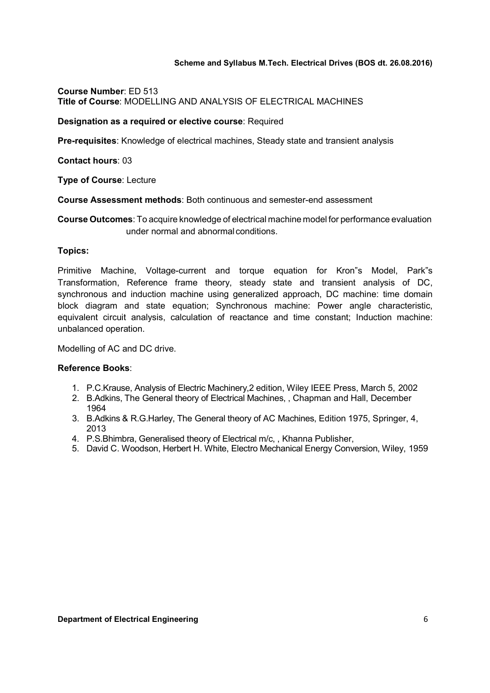Course Number: ED 513 Title of Course: MODELLING AND ANALYSIS OF ELECTRICAL MACHINES

#### Designation as a required or elective course: Required

Pre-requisites: Knowledge of electrical machines, Steady state and transient analysis

Contact hours: 03

Type of Course: Lecture

Course Assessment methods: Both continuous and semester-end assessment

Course Outcomes: To acquire knowledge of electrical machine model for performance evaluation under normal and abnormal conditions.

# Topics:

Primitive Machine, Voltage-current and torque equation for Kron"s Model, Park"s Transformation, Reference frame theory, steady state and transient analysis of DC, synchronous and induction machine using generalized approach, DC machine: time domain block diagram and state equation; Synchronous machine: Power angle characteristic, equivalent circuit analysis, calculation of reactance and time constant; Induction machine: unbalanced operation.

Modelling of AC and DC drive.

- 1. P.C.Krause, Analysis of Electric Machinery,2 edition, Wiley IEEE Press, March 5, 2002
- 2. B.Adkins, The General theory of Electrical Machines, , Chapman and Hall, December 1964
- 3. B.Adkins & R.G.Harley, The General theory of AC Machines, Edition 1975, Springer, 4, 2013
- 4. P.S.Bhimbra, Generalised theory of Electrical m/c, , Khanna Publisher,
- 5. David C. Woodson, Herbert H. White, Electro Mechanical Energy Conversion, Wiley, 1959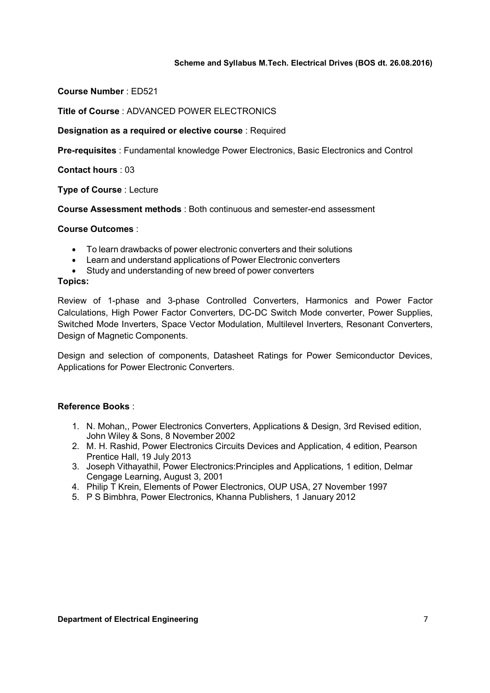Course Number : ED521

Title of Course : ADVANCED POWER ELECTRONICS

### Designation as a required or elective course : Required

Pre-requisites : Fundamental knowledge Power Electronics, Basic Electronics and Control

Contact hours : 03

Type of Course : Lecture

Course Assessment methods : Both continuous and semester-end assessment

Course Outcomes :

- To learn drawbacks of power electronic converters and their solutions
- Learn and understand applications of Power Electronic converters
- Study and understanding of new breed of power converters

#### Topics:

Review of 1-phase and 3-phase Controlled Converters, Harmonics and Power Factor Calculations, High Power Factor Converters, DC-DC Switch Mode converter, Power Supplies, Switched Mode Inverters, Space Vector Modulation, Multilevel Inverters, Resonant Converters, Design of Magnetic Components.

Design and selection of components, Datasheet Ratings for Power Semiconductor Devices, Applications for Power Electronic Converters.

- 1. N. Mohan,, Power Electronics Converters, Applications & Design, 3rd Revised edition, John Wiley & Sons, 8 November 2002
- 2. M. H. Rashid, Power Electronics Circuits Devices and Application, 4 edition, Pearson Prentice Hall, 19 July 2013
- 3. Joseph Vithayathil, Power Electronics:Principles and Applications, 1 edition, Delmar Cengage Learning, August 3, 2001
- 4. Philip T Krein, Elements of Power Electronics, OUP USA, 27 November 1997
- 5. P S Bimbhra, Power Electronics, Khanna Publishers, 1 January 2012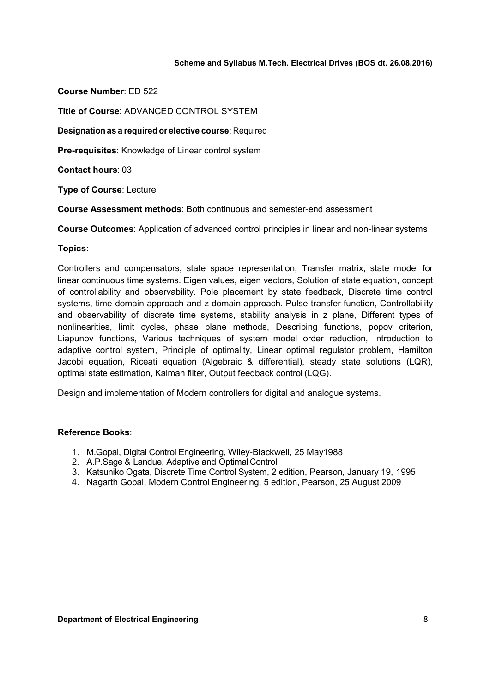Course Number: ED 522

Title of Course: ADVANCED CONTROL SYSTEM

Designation as a required or elective course: Required

Pre-requisites: Knowledge of Linear control system

Contact hours: 03

Type of Course: Lecture

Course Assessment methods: Both continuous and semester-end assessment

Course Outcomes: Application of advanced control principles in linear and non-linear systems

# Topics:

Controllers and compensators, state space representation, Transfer matrix, state model for linear continuous time systems. Eigen values, eigen vectors, Solution of state equation, concept of controllability and observability. Pole placement by state feedback, Discrete time control systems, time domain approach and z domain approach. Pulse transfer function, Controllability and observability of discrete time systems, stability analysis in z plane, Different types of nonlinearities, limit cycles, phase plane methods, Describing functions, popov criterion, Liapunov functions, Various techniques of system model order reduction, Introduction to adaptive control system, Principle of optimality, Linear optimal regulator problem, Hamilton Jacobi equation, Riceati equation (Algebraic & differential), steady state solutions (LQR), optimal state estimation, Kalman filter, Output feedback control (LQG).

Design and implementation of Modern controllers for digital and analogue systems.

- 1. M.Gopal, Digital Control Engineering, Wiley-Blackwell, 25 May1988
- 2. A.P.Sage & Landue, Adaptive and Optimal Control
- 3. Katsuniko Ogata, Discrete Time Control System, 2 edition, Pearson, January 19, 1995
- 4. Nagarth Gopal, Modern Control Engineering, 5 edition, Pearson, 25 August 2009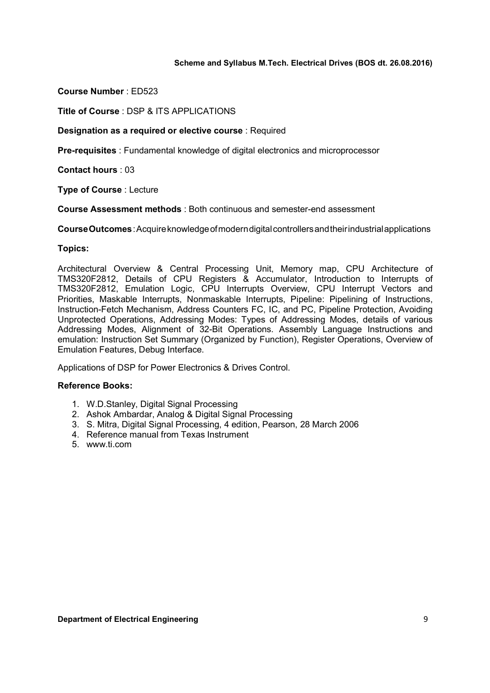Course Number : ED523

Title of Course : DSP & ITS APPLICATIONS

Designation as a required or elective course : Required

Pre-requisites : Fundamental knowledge of digital electronics and microprocessor

Contact hours : 03

Type of Course : Lecture

Course Assessment methods : Both continuous and semester-end assessment

Course Outcomes : Acquire knowledge of modern digital controllers and their industrial applications

#### Topics:

Architectural Overview & Central Processing Unit, Memory map, CPU Architecture of TMS320F2812, Details of CPU Registers & Accumulator, Introduction to Interrupts of TMS320F2812, Emulation Logic, CPU Interrupts Overview, CPU Interrupt Vectors and Priorities, Maskable Interrupts, Nonmaskable Interrupts, Pipeline: Pipelining of Instructions, Instruction-Fetch Mechanism, Address Counters FC, IC, and PC, Pipeline Protection, Avoiding Unprotected Operations, Addressing Modes: Types of Addressing Modes, details of various Addressing Modes, Alignment of 32-Bit Operations. Assembly Language Instructions and emulation: Instruction Set Summary (Organized by Function), Register Operations, Overview of Emulation Features, Debug Interface.

Applications of DSP for Power Electronics & Drives Control.

- 1. W.D.Stanley, Digital Signal Processing
- 2. Ashok Ambardar, Analog & Digital Signal Processing
- 3. S. Mitra, Digital Signal Processing, 4 edition, Pearson, 28 March 2006
- 4. Reference manual from Texas Instrument
- 5. www.ti.com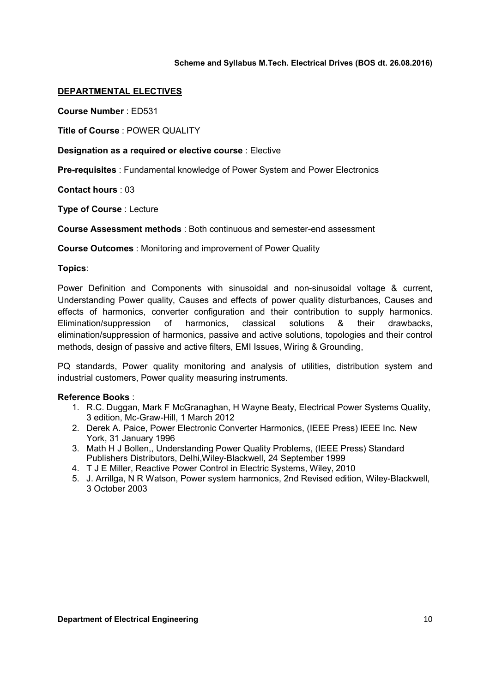# DEPARTMENTAL ELECTIVES

Course Number : ED531

Title of Course : POWER QUALITY

# Designation as a required or elective course : Elective

Pre-requisites : Fundamental knowledge of Power System and Power Electronics

Contact hours : 03

Type of Course : Lecture

Course Assessment methods : Both continuous and semester-end assessment

Course Outcomes : Monitoring and improvement of Power Quality

#### Topics:

Power Definition and Components with sinusoidal and non-sinusoidal voltage & current, Understanding Power quality, Causes and effects of power quality disturbances, Causes and effects of harmonics, converter configuration and their contribution to supply harmonics. Elimination/suppression of harmonics, classical solutions & their drawbacks, elimination/suppression of harmonics, passive and active solutions, topologies and their control methods, design of passive and active filters, EMI Issues, Wiring & Grounding,

PQ standards, Power quality monitoring and analysis of utilities, distribution system and industrial customers, Power quality measuring instruments.

- 1. R.C. Duggan, Mark F McGranaghan, H Wayne Beaty, Electrical Power Systems Quality, 3 edition, Mc-Graw-Hill, 1 March 2012
- 2. Derek A. Paice, Power Electronic Converter Harmonics, (IEEE Press) IEEE Inc. New York, 31 January 1996
- 3. Math H J Bollen,, Understanding Power Quality Problems, (IEEE Press) Standard Publishers Distributors, Delhi,Wiley-Blackwell, 24 September 1999
- 4. T J E Miller, Reactive Power Control in Electric Systems, Wiley, 2010
- 5. J. Arrillga, N R Watson, Power system harmonics, 2nd Revised edition, Wiley-Blackwell, 3 October 2003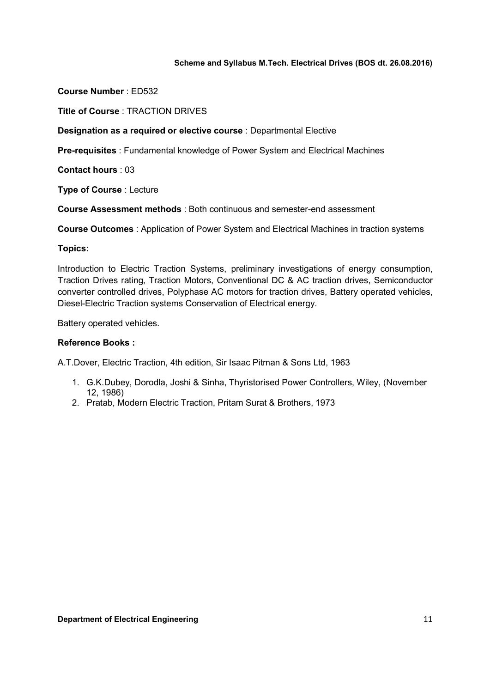Course Number : ED532

Title of Course : TRACTION DRIVES

Designation as a required or elective course : Departmental Elective

Pre-requisites : Fundamental knowledge of Power System and Electrical Machines

Contact hours : 03

Type of Course : Lecture

Course Assessment methods : Both continuous and semester-end assessment

Course Outcomes : Application of Power System and Electrical Machines in traction systems

# Topics:

Introduction to Electric Traction Systems, preliminary investigations of energy consumption, Traction Drives rating, Traction Motors, Conventional DC & AC traction drives, Semiconductor converter controlled drives, Polyphase AC motors for traction drives, Battery operated vehicles, Diesel-Electric Traction systems Conservation of Electrical energy.

Battery operated vehicles.

# Reference Books :

A.T.Dover, Electric Traction, 4th edition, Sir Isaac Pitman & Sons Ltd, 1963

- 1. G.K.Dubey, Dorodla, Joshi & Sinha, Thyristorised Power Controllers, Wiley, (November 12, 1986)
- 2. Pratab, Modern Electric Traction, Pritam Surat & Brothers, 1973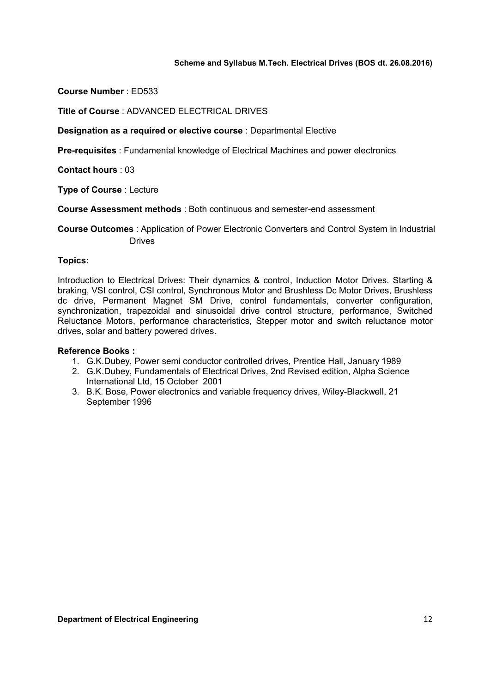Course Number : ED533

Title of Course : ADVANCED ELECTRICAL DRIVES

Designation as a required or elective course : Departmental Elective

Pre-requisites : Fundamental knowledge of Electrical Machines and power electronics

Contact hours : 03

Type of Course : Lecture

Course Assessment methods : Both continuous and semester-end assessment

Course Outcomes : Application of Power Electronic Converters and Control System in Industrial Drives

#### Topics:

Introduction to Electrical Drives: Their dynamics & control, Induction Motor Drives. Starting & braking, VSI control, CSI control, Synchronous Motor and Brushless Dc Motor Drives, Brushless dc drive, Permanent Magnet SM Drive, control fundamentals, converter configuration, synchronization, trapezoidal and sinusoidal drive control structure, performance, Switched Reluctance Motors, performance characteristics, Stepper motor and switch reluctance motor drives, solar and battery powered drives.

- 1. G.K.Dubey, Power semi conductor controlled drives, Prentice Hall, January 1989
- 2. G.K.Dubey, Fundamentals of Electrical Drives, 2nd Revised edition, Alpha Science International Ltd, 15 October 2001
- 3. B.K. Bose, Power electronics and variable frequency drives, Wiley-Blackwell, 21 September 1996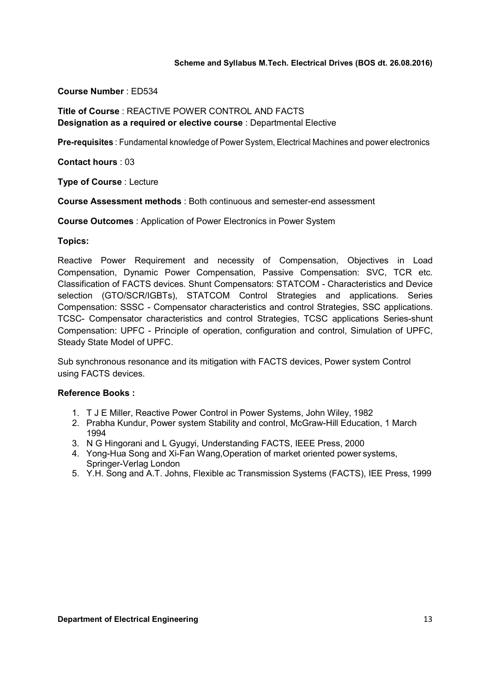### Course Number : ED534

# Title of Course : REACTIVE POWER CONTROL AND FACTS Designation as a required or elective course : Departmental Elective

Pre-requisites : Fundamental knowledge of Power System, Electrical Machines and power electronics

Contact hours : 03

Type of Course : Lecture

Course Assessment methods : Both continuous and semester-end assessment

Course Outcomes : Application of Power Electronics in Power System

#### Topics:

Reactive Power Requirement and necessity of Compensation, Objectives in Load Compensation, Dynamic Power Compensation, Passive Compensation: SVC, TCR etc. Classification of FACTS devices. Shunt Compensators: STATCOM - Characteristics and Device selection (GTO/SCR/IGBTs), STATCOM Control Strategies and applications. Series Compensation: SSSC - Compensator characteristics and control Strategies, SSC applications. TCSC- Compensator characteristics and control Strategies, TCSC applications Series-shunt Compensation: UPFC - Principle of operation, configuration and control, Simulation of UPFC, Steady State Model of UPFC.

Sub synchronous resonance and its mitigation with FACTS devices, Power system Control using FACTS devices.

- 1. T J E Miller, Reactive Power Control in Power Systems, John Wiley, 1982
- 2. Prabha Kundur, Power system Stability and control, McGraw-Hill Education, 1 March 1994
- 3. N G Hingorani and L Gyugyi, Understanding FACTS, IEEE Press, 2000
- 4. Yong-Hua Song and Xi-Fan Wang,Operation of market oriented power systems, Springer-Verlag London
- 5. Y.H. Song and A.T. Johns, Flexible ac Transmission Systems (FACTS), IEE Press, 1999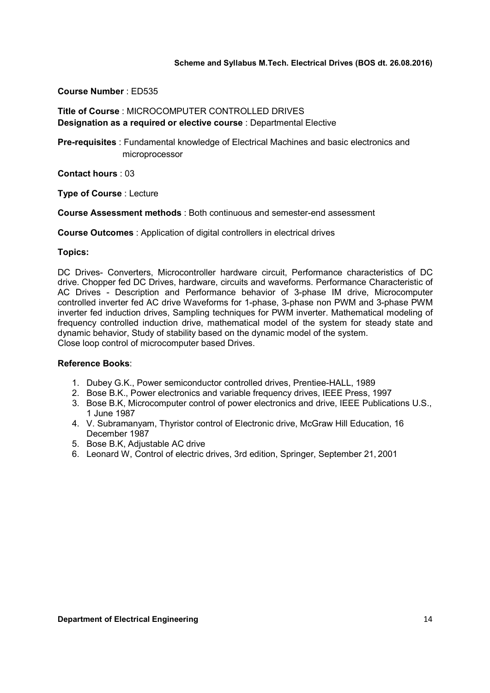# Course Number : ED535

# Title of Course : MICROCOMPUTER CONTROLLED DRIVES Designation as a required or elective course : Departmental Elective

Pre-requisites : Fundamental knowledge of Electrical Machines and basic electronics and microprocessor

Contact hours : 03

Type of Course : Lecture

Course Assessment methods : Both continuous and semester-end assessment

Course Outcomes : Application of digital controllers in electrical drives

# Topics:

DC Drives- Converters, Microcontroller hardware circuit, Performance characteristics of DC drive. Chopper fed DC Drives, hardware, circuits and waveforms. Performance Characteristic of AC Drives - Description and Performance behavior of 3-phase IM drive, Microcomputer controlled inverter fed AC drive Waveforms for 1-phase, 3-phase non PWM and 3-phase PWM inverter fed induction drives, Sampling techniques for PWM inverter. Mathematical modeling of frequency controlled induction drive, mathematical model of the system for steady state and dynamic behavior, Study of stability based on the dynamic model of the system. Close loop control of microcomputer based Drives.

- 1. Dubey G.K., Power semiconductor controlled drives, Prentiee-HALL, 1989
- 2. Bose B.K., Power electronics and variable frequency drives, IEEE Press, 1997
- 3. Bose B.K, Microcomputer control of power electronics and drive, IEEE Publications U.S., 1 June 1987
- 4. V. Subramanyam, Thyristor control of Electronic drive, McGraw Hill Education, 16 December 1987
- 5. Bose B.K, Adjustable AC drive
- 6. Leonard W, Control of electric drives, 3rd edition, Springer, September 21, 2001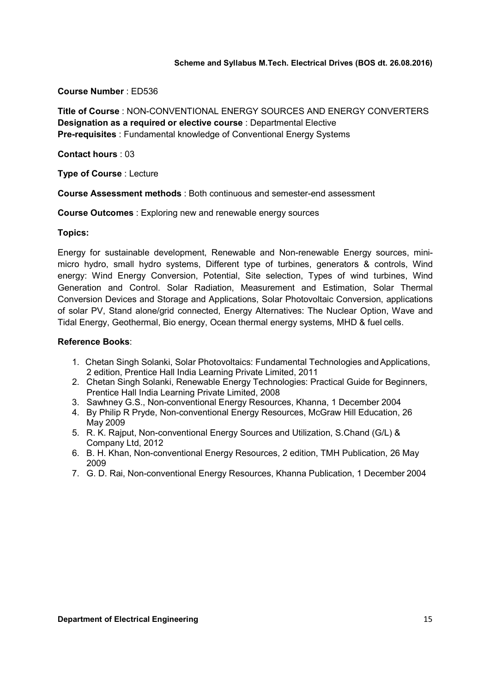# Course Number : ED536

Title of Course : NON-CONVENTIONAL ENERGY SOURCES AND ENERGY CONVERTERS Designation as a required or elective course : Departmental Elective Pre-requisites : Fundamental knowledge of Conventional Energy Systems

Contact hours : 03

Type of Course : Lecture

Course Assessment methods : Both continuous and semester-end assessment

Course Outcomes : Exploring new and renewable energy sources

# Topics:

Energy for sustainable development, Renewable and Non-renewable Energy sources, minimicro hydro, small hydro systems, Different type of turbines, generators & controls, Wind energy: Wind Energy Conversion, Potential, Site selection, Types of wind turbines, Wind Generation and Control. Solar Radiation, Measurement and Estimation, Solar Thermal Conversion Devices and Storage and Applications, Solar Photovoltaic Conversion, applications of solar PV, Stand alone/grid connected, Energy Alternatives: The Nuclear Option, Wave and Tidal Energy, Geothermal, Bio energy, Ocean thermal energy systems, MHD & fuel cells.

- 1. Chetan Singh Solanki, Solar Photovoltaics: Fundamental Technologies and Applications, 2 edition, Prentice Hall India Learning Private Limited, 2011
- 2. Chetan Singh Solanki, Renewable Energy Technologies: Practical Guide for Beginners, Prentice Hall India Learning Private Limited, 2008
- 3. Sawhney G.S., Non-conventional Energy Resources, Khanna, 1 December 2004
- 4. By Philip R Pryde, Non-conventional Energy Resources, McGraw Hill Education, 26 May 2009
- 5. R. K. Rajput, Non-conventional Energy Sources and Utilization, S.Chand (G/L) & Company Ltd, 2012
- 6. B. H. Khan, Non-conventional Energy Resources, 2 edition, TMH Publication, 26 May 2009
- 7. G. D. Rai, Non-conventional Energy Resources, Khanna Publication, 1 December 2004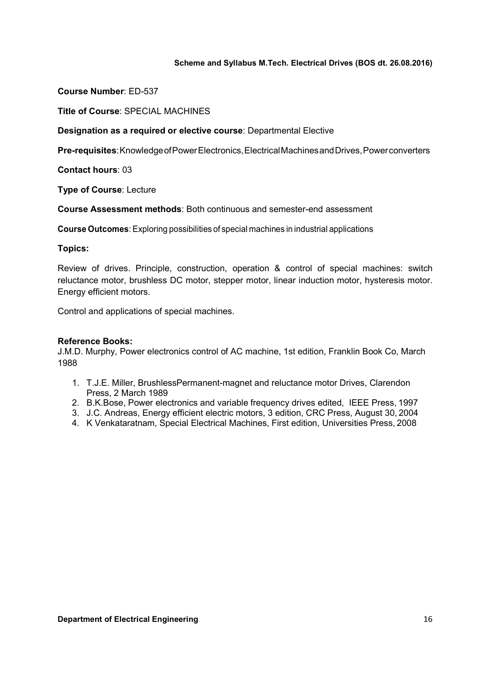Course Number: ED-537

Title of Course: SPECIAL MACHINES

Designation as a required or elective course: Departmental Elective

Pre-requisites: Knowledge of Power Electronics, Electrical Machines and Drives, Power converters

Contact hours: 03

Type of Course: Lecture

Course Assessment methods: Both continuous and semester-end assessment

Course Outcomes: Exploring possibilities of special machines in industrial applications

# Topics:

Review of drives. Principle, construction, operation & control of special machines: switch reluctance motor, brushless DC motor, stepper motor, linear induction motor, hysteresis motor. Energy efficient motors.

Control and applications of special machines.

# Reference Books:

J.M.D. Murphy, Power electronics control of AC machine, 1st edition, Franklin Book Co, March 1988

- 1. T.J.E. Miller, BrushlessPermanent-magnet and reluctance motor Drives, Clarendon Press, 2 March 1989
- 2. B.K.Bose, Power electronics and variable frequency drives edited, IEEE Press, 1997
- 3. J.C. Andreas, Energy efficient electric motors, 3 edition, CRC Press, August 30, 2004
- 4. K Venkataratnam, Special Electrical Machines, First edition, Universities Press, 2008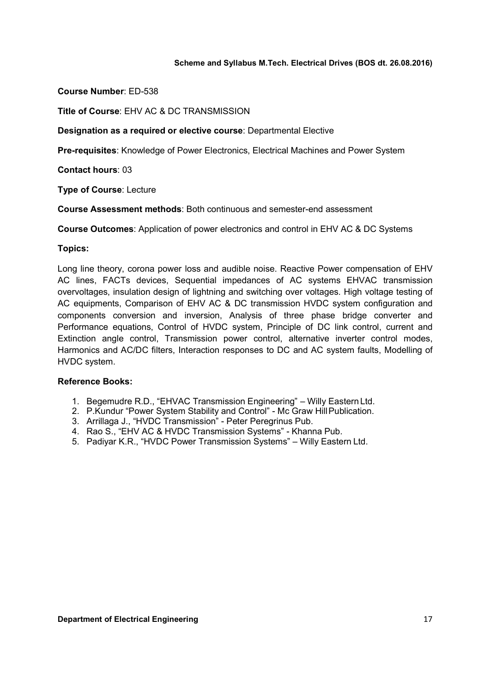Course Number: ED-538

Title of Course: EHV AC & DC TRANSMISSION

Designation as a required or elective course: Departmental Elective

Pre-requisites: Knowledge of Power Electronics, Electrical Machines and Power System

Contact hours: 03

Type of Course: Lecture

Course Assessment methods: Both continuous and semester-end assessment

Course Outcomes: Application of power electronics and control in EHV AC & DC Systems

# Topics:

Long line theory, corona power loss and audible noise. Reactive Power compensation of EHV AC lines, FACTs devices, Sequential impedances of AC systems EHVAC transmission overvoltages, insulation design of lightning and switching over voltages. High voltage testing of AC equipments, Comparison of EHV AC & DC transmission HVDC system configuration and components conversion and inversion, Analysis of three phase bridge converter and Performance equations, Control of HVDC system, Principle of DC link control, current and Extinction angle control, Transmission power control, alternative inverter control modes, Harmonics and AC/DC filters, Interaction responses to DC and AC system faults, Modelling of HVDC system.

- 1. Begemudre R.D., "EHVAC Transmission Engineering" Willy Eastern Ltd.
- 2. P.Kundur "Power System Stability and Control" Mc Graw Hill Publication.
- 3. Arrillaga J., "HVDC Transmission" Peter Peregrinus Pub.
- 4. Rao S., "EHV AC & HVDC Transmission Systems" Khanna Pub.
- 5. Padiyar K.R., "HVDC Power Transmission Systems" Willy Eastern Ltd.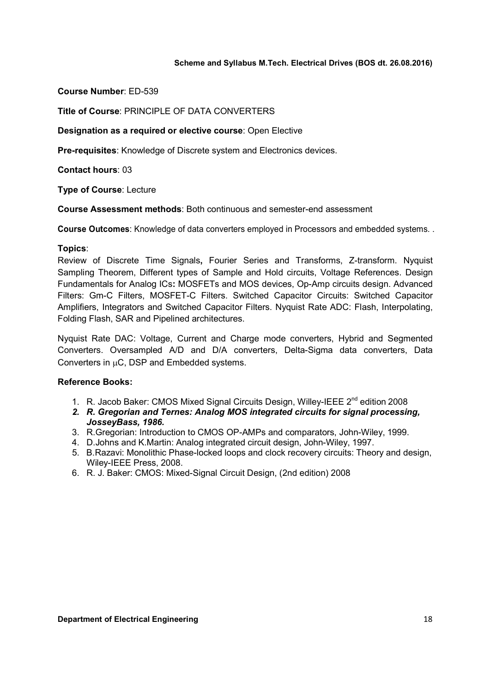Course Number: ED-539

Title of Course: PRINCIPLE OF DATA CONVERTERS

Designation as a required or elective course: Open Elective

Pre-requisites: Knowledge of Discrete system and Electronics devices.

Contact hours: 03

Type of Course: Lecture

Course Assessment methods: Both continuous and semester-end assessment

Course Outcomes: Knowledge of data converters employed in Processors and embedded systems. .

#### Topics:

Review of Discrete Time Signals, Fourier Series and Transforms, Z-transform. Nyquist Sampling Theorem, Different types of Sample and Hold circuits, Voltage References. Design Fundamentals for Analog ICs: MOSFETs and MOS devices, Op-Amp circuits design. Advanced Filters: Gm-C Filters, MOSFET-C Filters. Switched Capacitor Circuits: Switched Capacitor Amplifiers, Integrators and Switched Capacitor Filters. Nyquist Rate ADC: Flash, Interpolating, Folding Flash, SAR and Pipelined architectures.

Nyquist Rate DAC: Voltage, Current and Charge mode converters, Hybrid and Segmented Converters. Oversampled A/D and D/A converters, Delta-Sigma data converters, Data Converters in  $\mu$ C, DSP and Embedded systems.

- 1. R. Jacob Baker: CMOS Mixed Signal Circuits Design, Willey-IEEE 2nd edition 2008
- 2. R. Gregorian and Ternes: Analog MOS integrated circuits for signal processing, JosseyBass, 1986.
- 3. R.Gregorian: Introduction to CMOS OP-AMPs and comparators, John-Wiley, 1999.
- 4. D.Johns and K.Martin: Analog integrated circuit design, John-Wiley, 1997.
- 5. B.Razavi: Monolithic Phase-locked loops and clock recovery circuits: Theory and design, Wiley-IEEE Press, 2008.
- 6. R. J. Baker: CMOS: Mixed-Signal Circuit Design, (2nd edition) 2008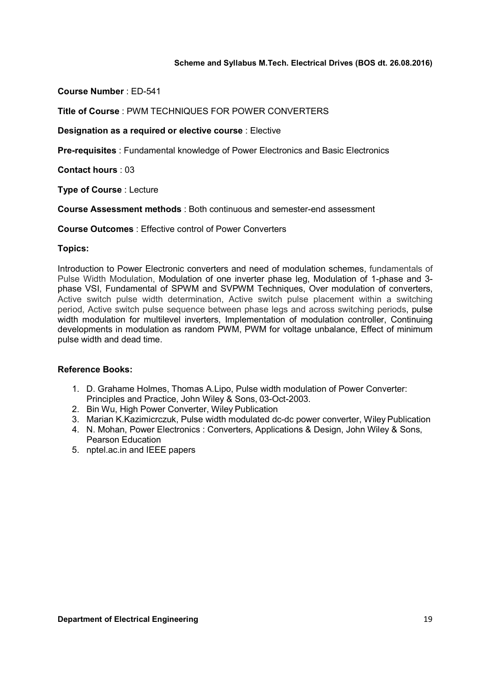Course Number : ED-541

Title of Course : PWM TECHNIQUES FOR POWER CONVERTERS

Designation as a required or elective course : Elective

Pre-requisites : Fundamental knowledge of Power Electronics and Basic Electronics

Contact hours : 03

Type of Course : Lecture

Course Assessment methods : Both continuous and semester-end assessment

Course Outcomes : Effective control of Power Converters

#### Topics:

Introduction to Power Electronic converters and need of modulation schemes, fundamentals of Pulse Width Modulation, Modulation of one inverter phase leg, Modulation of 1-phase and 3 phase VSI, Fundamental of SPWM and SVPWM Techniques, Over modulation of converters, Active switch pulse width determination, Active switch pulse placement within a switching period, Active switch pulse sequence between phase legs and across switching periods, pulse width modulation for multilevel inverters, Implementation of modulation controller, Continuing developments in modulation as random PWM, PWM for voltage unbalance, Effect of minimum pulse width and dead time.

- 1. D. Grahame Holmes, Thomas A.Lipo, Pulse width modulation of Power Converter: Principles and Practice, John Wiley & Sons, 03-Oct-2003.
- 2. Bin Wu, High Power Converter, Wiley Publication
- 3. Marian K.Kazimicrczuk, Pulse width modulated dc-dc power converter, Wiley Publication
- 4. N. Mohan, Power Electronics : Converters, Applications & Design, John Wiley & Sons, Pearson Education
- 5. nptel.ac.in and IEEE papers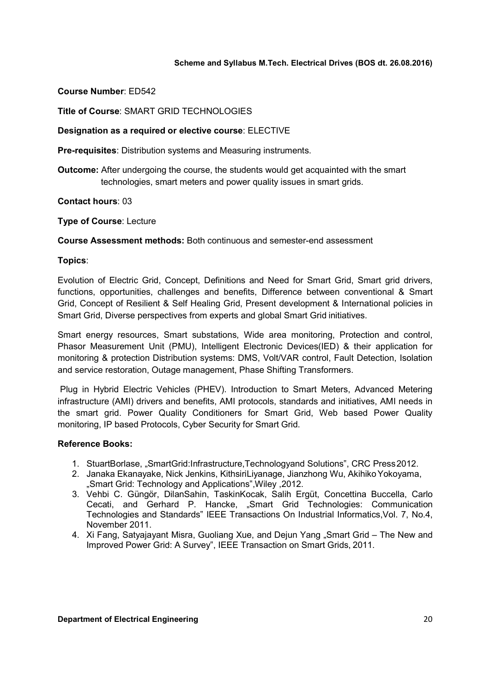# Course Number: ED542

Title of Course: SMART GRID TECHNOLOGIES

# Designation as a required or elective course: ELECTIVE

Pre-requisites: Distribution systems and Measuring instruments.

Outcome: After undergoing the course, the students would get acquainted with the smart technologies, smart meters and power quality issues in smart grids.

#### Contact hours: 03

Type of Course: Lecture

Course Assessment methods: Both continuous and semester-end assessment

# Topics:

Evolution of Electric Grid, Concept, Definitions and Need for Smart Grid, Smart grid drivers, functions, opportunities, challenges and benefits, Difference between conventional & Smart Grid, Concept of Resilient & Self Healing Grid, Present development & International policies in Smart Grid, Diverse perspectives from experts and global Smart Grid initiatives.

Smart energy resources, Smart substations, Wide area monitoring, Protection and control, Phasor Measurement Unit (PMU), Intelligent Electronic Devices(IED) & their application for monitoring & protection Distribution systems: DMS, Volt/VAR control, Fault Detection, Isolation and service restoration, Outage management, Phase Shifting Transformers.

Plug in Hybrid Electric Vehicles (PHEV). Introduction to Smart Meters, Advanced Metering infrastructure (AMI) drivers and benefits, AMI protocols, standards and initiatives, AMI needs in the smart grid. Power Quality Conditioners for Smart Grid, Web based Power Quality monitoring, IP based Protocols, Cyber Security for Smart Grid.

- 1. StuartBorlase, "SmartGrid:Infrastructure,Technologyand Solutions", CRC Press 2012.
- 2. Janaka Ekanayake, Nick Jenkins, KithsiriLiyanage, Jianzhong Wu, Akihiko Yokoyama, "Smart Grid: Technology and Applications",Wiley ,2012.
- 3. Vehbi C. Güngör, DilanSahin, TaskinKocak, Salih Ergüt, Concettina Buccella, Carlo Cecati, and Gerhard P. Hancke, "Smart Grid Technologies: Communication Technologies and Standards" IEEE Transactions On Industrial Informatics,Vol. 7, No.4, November 2011.
- 4. Xi Fang, Satyajayant Misra, Guoliang Xue, and Dejun Yang "Smart Grid The New and Improved Power Grid: A Survey", IEEE Transaction on Smart Grids, 2011.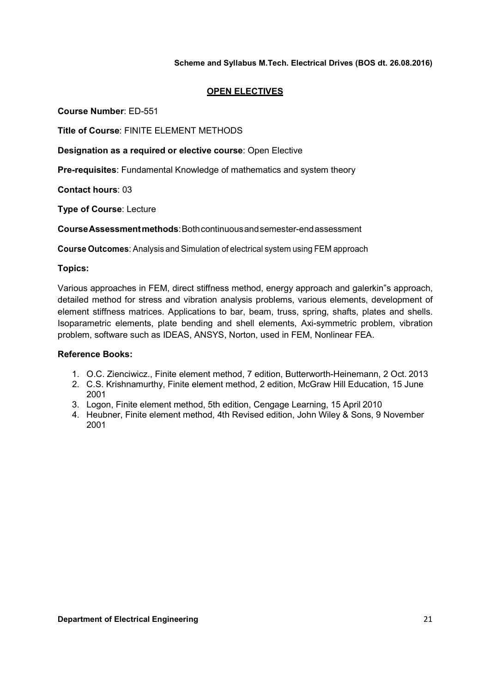# OPEN ELECTIVES

Course Number: ED-551

Title of Course: FINITE ELEMENT METHODS

Designation as a required or elective course: Open Elective

Pre-requisites: Fundamental Knowledge of mathematics and system theory

Contact hours: 03

Type of Course: Lecture

Course Assessment methods: Both continuous and semester-end assessment

Course Outcomes: Analysis and Simulation of electrical system using FEM approach

# Topics:

Various approaches in FEM, direct stiffness method, energy approach and galerkin"s approach, detailed method for stress and vibration analysis problems, various elements, development of element stiffness matrices. Applications to bar, beam, truss, spring, shafts, plates and shells. Isoparametric elements, plate bending and shell elements, Axi-symmetric problem, vibration problem, software such as IDEAS, ANSYS, Norton, used in FEM, Nonlinear FEA.

- 1. O.C. Zienciwicz., Finite element method, 7 edition, Butterworth-Heinemann, 2 Oct. 2013
- 2. C.S. Krishnamurthy, Finite element method, 2 edition, McGraw Hill Education, 15 June 2001
- 3. Logon, Finite element method, 5th edition, Cengage Learning, 15 April 2010
- 4. Heubner, Finite element method, 4th Revised edition, John Wiley & Sons, 9 November 2001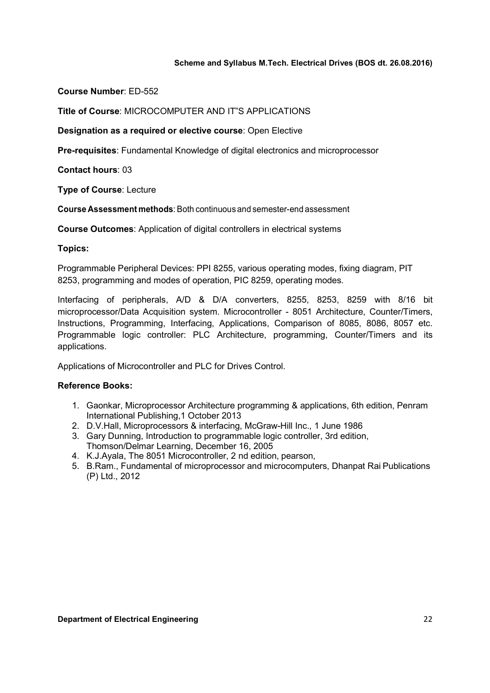Course Number: ED-552

Title of Course: MICROCOMPUTER AND IT"S APPLICATIONS

Designation as a required or elective course: Open Elective

Pre-requisites: Fundamental Knowledge of digital electronics and microprocessor

Contact hours: 03

Type of Course: Lecture

Course Assessment methods: Both continuous and semester-end assessment

Course Outcomes: Application of digital controllers in electrical systems

#### Topics:

Programmable Peripheral Devices: PPI 8255, various operating modes, fixing diagram, PIT 8253, programming and modes of operation, PIC 8259, operating modes.

Interfacing of peripherals, A/D & D/A converters, 8255, 8253, 8259 with 8/16 bit microprocessor/Data Acquisition system. Microcontroller - 8051 Architecture, Counter/Timers, Instructions, Programming, Interfacing, Applications, Comparison of 8085, 8086, 8057 etc. Programmable logic controller: PLC Architecture, programming, Counter/Timers and its applications.

Applications of Microcontroller and PLC for Drives Control.

- 1. Gaonkar, Microprocessor Architecture programming & applications, 6th edition, Penram International Publishing,1 October 2013
- 2. D.V.Hall, Microprocessors & interfacing, McGraw-Hill Inc., 1 June 1986
- 3. Gary Dunning, Introduction to programmable logic controller, 3rd edition, Thomson/Delmar Learning, December 16, 2005
- 4. K.J.Ayala, The 8051 Microcontroller, 2 nd edition, pearson,
- 5. B.Ram., Fundamental of microprocessor and microcomputers, Dhanpat Rai Publications (P) Ltd., 2012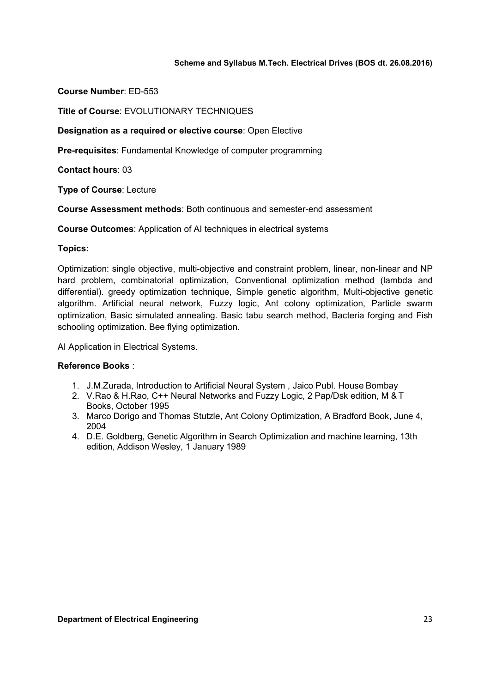Course Number: ED-553

Title of Course: EVOLUTIONARY TECHNIQUES

Designation as a required or elective course: Open Elective

Pre-requisites: Fundamental Knowledge of computer programming

Contact hours: 03

Type of Course: Lecture

Course Assessment methods: Both continuous and semester-end assessment

Course Outcomes: Application of AI techniques in electrical systems

#### Topics:

Optimization: single objective, multi-objective and constraint problem, linear, non-linear and NP hard problem, combinatorial optimization, Conventional optimization method (lambda and differential). greedy optimization technique, Simple genetic algorithm, Multi-objective genetic algorithm. Artificial neural network, Fuzzy logic, Ant colony optimization, Particle swarm optimization, Basic simulated annealing. Basic tabu search method, Bacteria forging and Fish schooling optimization. Bee flying optimization.

AI Application in Electrical Systems.

- 1. J.M.Zurada, Introduction to Artificial Neural System , Jaico Publ. House Bombay
- 2. V.Rao & H.Rao, C++ Neural Networks and Fuzzy Logic, 2 Pap/Dsk edition, M & T Books, October 1995
- 3. Marco Dorigo and Thomas Stutzle, Ant Colony Optimization, A Bradford Book, June 4, 2004
- 4. D.E. Goldberg, Genetic Algorithm in Search Optimization and machine learning, 13th edition, Addison Wesley, 1 January 1989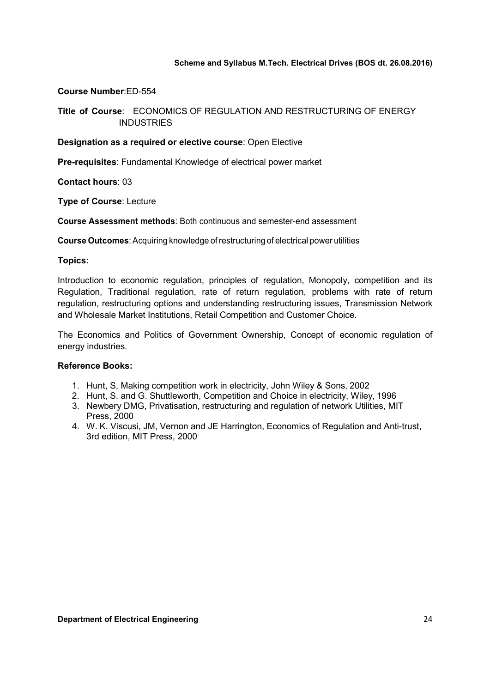### Course Number:ED-554

# Title of Course: ECONOMICS OF REGULATION AND RESTRUCTURING OF ENERGY **INDUSTRIES**

# Designation as a required or elective course: Open Elective

Pre-requisites: Fundamental Knowledge of electrical power market

Contact hours: 03

Type of Course: Lecture

Course Assessment methods: Both continuous and semester-end assessment

Course Outcomes: Acquiring knowledge of restructuring of electrical power utilities

#### Topics:

Introduction to economic regulation, principles of regulation, Monopoly, competition and its Regulation, Traditional regulation, rate of return regulation, problems with rate of return regulation, restructuring options and understanding restructuring issues, Transmission Network and Wholesale Market Institutions, Retail Competition and Customer Choice.

The Economics and Politics of Government Ownership, Concept of economic regulation of energy industries.

- 1. Hunt, S, Making competition work in electricity, John Wiley & Sons, 2002
- 2. Hunt, S. and G. Shuttleworth, Competition and Choice in electricity, Wiley, 1996
- 3. Newbery DMG, Privatisation, restructuring and regulation of network Utilities, MIT Press, 2000
- 4. W. K. Viscusi, JM, Vernon and JE Harrington, Economics of Regulation and Anti-trust, 3rd edition, MIT Press, 2000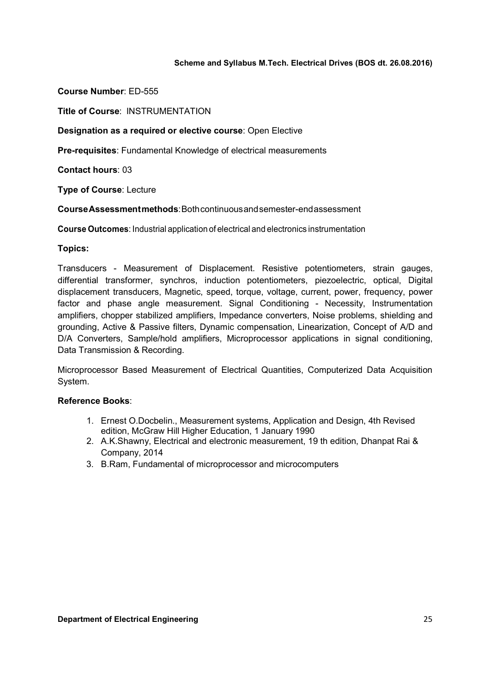Course Number: ED-555

Title of Course: INSTRUMENTATION

Designation as a required or elective course: Open Elective

Pre-requisites: Fundamental Knowledge of electrical measurements

Contact hours: 03

Type of Course: Lecture

Course Assessment methods: Both continuous and semester-end assessment

Course Outcomes: Industrial application of electrical and electronics instrumentation

#### Topics:

Transducers - Measurement of Displacement. Resistive potentiometers, strain gauges, differential transformer, synchros, induction potentiometers, piezoelectric, optical, Digital displacement transducers, Magnetic, speed, torque, voltage, current, power, frequency, power factor and phase angle measurement. Signal Conditioning - Necessity, Instrumentation amplifiers, chopper stabilized amplifiers, Impedance converters, Noise problems, shielding and grounding, Active & Passive filters, Dynamic compensation, Linearization, Concept of A/D and D/A Converters, Sample/hold amplifiers, Microprocessor applications in signal conditioning, Data Transmission & Recording.

Microprocessor Based Measurement of Electrical Quantities, Computerized Data Acquisition System.

- 1. Ernest O.Docbelin., Measurement systems, Application and Design, 4th Revised edition, McGraw Hill Higher Education, 1 January 1990
- 2. A.K.Shawny, Electrical and electronic measurement, 19 th edition, Dhanpat Rai & Company, 2014
- 3. B.Ram, Fundamental of microprocessor and microcomputers